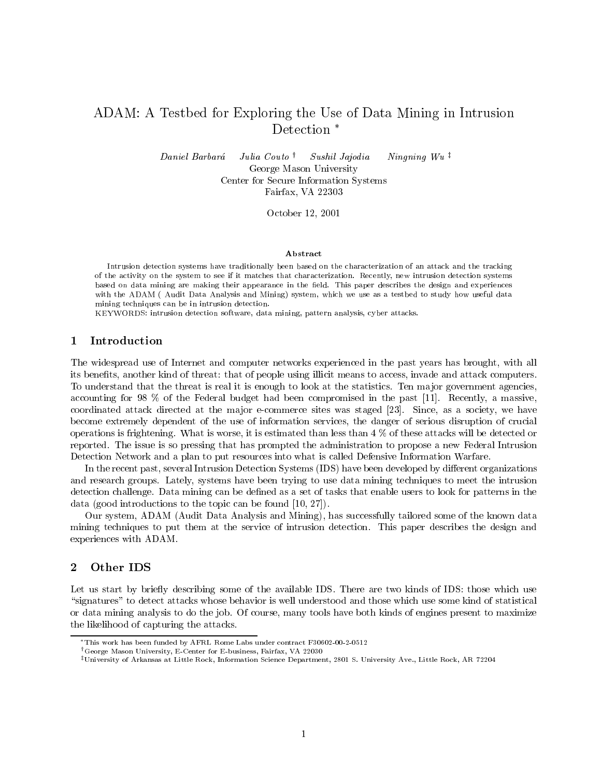# ADAM: A Testbed for Exploring the Use of Data Mining in Intrusion Detection<sup>\*</sup>

Daniel Barbará – Julia Couto<sup>†</sup> – Sushil Jajodia – Ningning Wu<sup>‡</sup> George Mason University Center for Secure Information Systems Fairfax, VA 22303

October 12, 2001

#### Abstract

Intrusion detection systems have traditionally been based on the characterization of an attack and the tracking of the activity on the system to see if it matches that characterization. Recently, new intrusion detection systems based on data mining are making their appearance in the field. This paper describes the design and experiences with the ADAM ( Audit Data Analysis and Mining) system, which we use as a testbed to study how useful data mining techniques can be in intrusion detection.

KEYWORDS: intrusion detection software, data mining, pattern analysis, cyber attacks.

## 1 Introduction

The widespread use of Internet and computer networks experienced in the past years has brought, with all its benefits, another kind of threat: that of people using illicit means to access, invade and attack computers. To understand that the threat is real it is enough to look at the statistics. Ten major government agencies, accounting for 98 % of the Federal budget had been compromised in the past [11]. Recently, a massive, coordinated attack directed at the major e-commerce sites was staged [23]. Since, as a society, we have become extremely dependent of the use of information services, the danger of serious disruption of crucial operations is frightening. What is worse, it is estimated than less than 4 % of these attacks will be detected or reported. The issue is so pressing that has prompted the administration to propose a new Federal Intrusion Detection Network and a plan to put resources into what is called Defensive Information Warfare.

In the recent past, several Intrusion Detection Systems (IDS) have been developed by different organizations and research groups. Lately, systems have been trying to use data mining techniques to meet the intrusion detection challenge. Data mining can be defined as a set of tasks that enable users to look for patterns in the data (good introductions to the topic can be found [10, 27]).

Our system, ADAM (Audit Data Analysis and Mining), has successfully tailored some of the known data mining techniques to put them at the service of intrusion detection. This paper describes the design and experiences with ADAM.

#### $\overline{2}$ Other IDS

Let us start by briefly describing some of the available IDS. There are two kinds of IDS: those which use "signatures" to detect attacks whose behavior is well understood and those which use some kind of statistical or data mining analysis to do the job. Of course, many tools have both kinds of engines present to maximize the likelihood of capturing the attacks.

This work has been funded by AFRL Rome Labs under contract F30602-00-2-0512

<sup>&</sup>lt;sup>†</sup>George Mason University, E-Center for E-business, Fairfax, VA 22030

zUniversity of Arkansas at Little Rock, Information Science Department, 2801 S. University Ave., Little Rock, AR 72204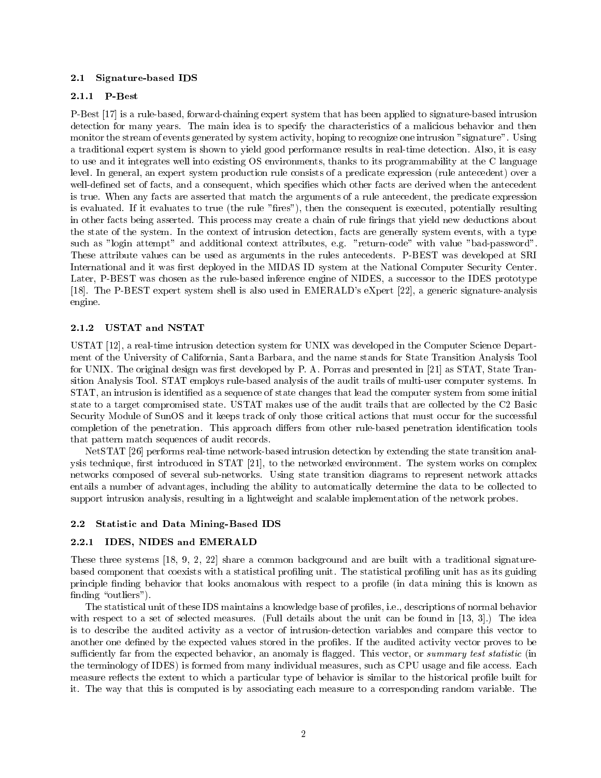#### Signature-based IDS  $2.1$

P-Best [17] is a rule-based, forward-chaining expert system that has been applied to signature-based intrusion detection for many years. The main idea is to specify the characteristics of a malicious behavior and then monitor the stream of events generated by system activity, hoping to recognize one intrusion "signature". Using a traditional expert system is shown to yield good performance results in real-time detection. Also, it is easy to use and it integrates well into existing OS environments, thanks to its programmability at the C language level. In general, an expert system production rule consists of a predicate expression (rule antecedent) over a well-defined set of facts, and a consequent, which specifies which other facts are derived when the antecedent is true. When any facts are asserted that match the arguments of a rule antecedent, the predicate expression is evaluated. If it evaluates to true (the rule "fires"), then the consequent is executed, potentially resulting in other facts being asserted. This process may create a chain of rule firings that yield new deductions about the state of the system. In the context of intrusion detection, facts are generally system events, with a type such as "login attempt" and additional context attributes, e.g. "return-code" with value "bad-password". These attribute values can be used as arguments in the rules antecedents. P-BEST was developed at SRI International and it was first deployed in the MIDAS ID system at the National Computer Security Center. Later, P-BEST was chosen as the rule-based inference engine of NIDES, a successor to the IDES prototype [18]. The P-BEST expert system shell is also used in EMERALD's eXpert [22], a generic signature-analysis engine.

## 2.1.2 USTAT and NSTAT

USTAT [12], a real-time intrusion detection system for UNIX was developed in the Computer Science Department of the University of California, Santa Barbara, and the name stands for State Transition Analysis Tool for UNIX. The original design was first developed by P. A. Porras and presented in  $[21]$  as STAT, State Transition Analysis Tool. STAT employs rule-based analysis of the audit trails of multi-user computer systems. In STAT, an intrusion is identified as a sequence of state changes that lead the computer system from some initial state to a target compromised state. USTAT makes use of the audit trails that are collected by the C2 Basic Security Module of SunOS and it keeps track of only those critical actions that must occur for the successful completion of the penetration. This approach differs from other rule-based penetration identification tools that pattern match sequences of audit records.

NetSTAT [26] performs real-time network-based intrusion detection by extending the state transition analysis technique, first introduced in STAT [21], to the networked environment. The system works on complex networks composed of several sub-networks. Using state transition diagrams to represent network attacks entails a number of advantages, including the ability to automatically determine the data to be collected to support intrusion analysis, resulting in a lightweight and scalable implementation of the network probes.

#### 2.2 Statistic and Data Mining-Based IDS

#### 2.2.1 IDES, NIDES and EMERALD

These three systems [18, 9, 2, 22] share a common background and are built with a traditional signaturebased component that coexists with a statistical proling unit. The statistical proling unit has as its guiding principle finding behavior that looks anomalous with respect to a profile (in data mining this is known as finding "outliers").

The statistical unit of these IDS maintains a knowledge base of profiles, i.e., descriptions of normal behavior with respect to a set of selected measures. (Full details about the unit can be found in [13, 3].) The idea is to describe the audited activity as a vector of intrusion-detection variables and compare this vector to another one defined by the expected values stored in the profiles. If the audited activity vector proves to be sufficiently far from the expected behavior, an anomaly is flagged. This vector, or summary test statistic (in the terminology of IDES) is formed from many individual measures, such as CPU usage and file access. Each measure reflects the extent to which a particular type of behavior is similar to the historical profile built for it. The way that this is computed is by associating each measure to a corresponding random variable. The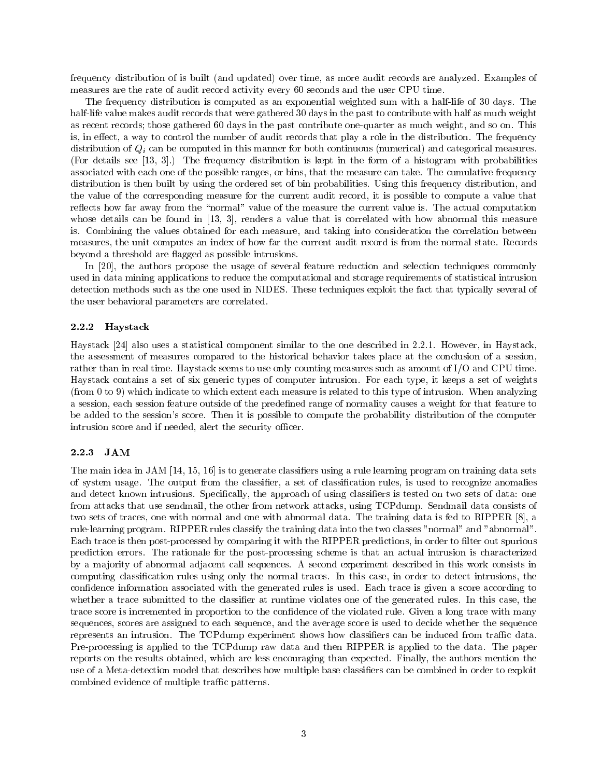frequency distribution of is built (and updated) over time, as more audit records are analyzed. Examples of measures are the rate of audit record activity every 60 seconds and the user CPU time.

The frequency distribution is computed as an exponential weighted sum with a half-life of 30 days. The half-life value makes audit records that were gathered 30 days in the past to contribute with half as much weight as recent records; those gathered 60 days in the past contribute one-quarter as much weight, and so on. This is, in effect, a way to control the number of audit records that play a role in the distribution. The frequency distribution of  $Q_i$  can be computed in this manner for both continuous (numerical) and categorical measures. (For details see [13, 3].) The frequency distribution iskept in the form of a histogram with probabilities associated with each one of the possible ranges, or bins, that the measure can take. The cumulative frequency distribution is then built by using the ordered set of bin probabilities. Using this frequency distribution, and the value of the corresponding measure for the current audit record, it is possible to compute a value that reflects how far away from the "normal" value of the measure the current value is. The actual computation whose details can be found in [13, 3], renders a value that is correlated with how abnormal this measure is. Combining the values obtained for each measure, and taking into consideration the correlation between measures, the unit computes an index of how far the current audit record is from the normal state. Records beyond a threshold are 
agged as possible intrusions.

In [20], the authors propose the usage of several feature reduction and selection techniques commonly used in data mining applications to reduce the computational and storage requirements of statistical intrusion detection methods such as the one used in NIDES. These techniques exploit the fact that typically several of the user behavioral parameters are correlated.

### 2.2.2 Haystack

Haystack [24] also uses a statistical component similar to the one described in 2.2.1. However, in Haystack, the assessment of measures compared to the historical behavior takes place at the conclusion of a session, rather than in real time. Haystack seems to use only counting measures such as amount of I/O and CPU time. Haystack contains a set of six generic types of computer intrusion. For each type, it keeps a set of weights (from 0 to 9) which indicate to which extent each measure is related to this type of intrusion. When analyzing a session, each session feature outside of the predened range of normality causes a weight for that feature to be added to the session's score. Then it is possible to compute the probability distribution of the computer intrusion score and if needed, alert the security officer.

### 2.2.3 JAM

The main idea in JAM [14, 15, 16] is to generate classifiers using a rule learning program on training data sets of system usage. The output from the classifier, a set of classification rules, is used to recognize anomalies and detect known intrusions. Specifically, the approach of using classifiers is tested on two sets of data: one from attacks that use sendmail, the other from network attacks, using TCPdump. Sendmail data consists of two sets of traces, one with normal and one with abnormal data. The training data is fed to RIPPER [8], a rule-learning program. RIPPER rules classify the training data into the two classes "normal" and "abnormal". Each trace is then post-processed by comparing it with the RIPPER predictions, in order to filter out spurious prediction errors. The rationale for the post-processing scheme is that an actual intrusion is characterized by a ma jority of abnormal adjacent call sequences. A second experiment described in this work consists in computing classication rules using only the normal traces. In this case, in order to detect intrusions, the condence information associated with the generated rules is used. Each trace is given a score according to whether a trace submitted to the classifier at runtime violates one of the generated rules. In this case, the trace score is incremented in proportion to the condence of the violated rule. Given a long trace with many sequences, scores are assigned to each sequence, and the average score is used to decide whether the sequence represents an intrusion. The TCPdump experiment shows how classifiers can be induced from traffic data. Pre-processing is applied to the TCPdump raw data and then RIPPER is applied to the data. The paper reports on the results obtained, which are less encouraging than expected. Finally, the authors mention the use of a Meta-detection model that describes how multiple base classiers can be combined in order to exploit combined evidence of multiple traffic patterns.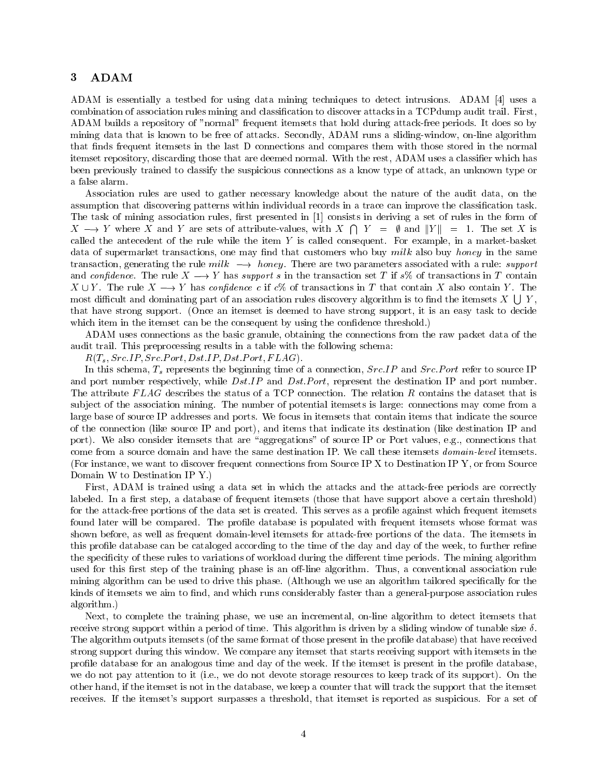#### **ADAM** 3

ADAM is essentially a testbed for using data mining techniques to detect intrusions. ADAM [4] uses a combination of association rules mining and classication to discover attacks in a TCPdump audit trail. First, ADAM builds a repository of "normal" frequent itemsets that hold during attack-free periods. It does so by mining data that is known to be free of attacks. Secondly, ADAM runs a sliding-window, on-line algorithm that finds frequent itemsets in the last D connections and compares them with those stored in the normal itemset repository, discarding those that are deemed normal. With the rest, ADAM uses a classifier which has been previously trained to classify the suspicious connections as a know type of attack, an unknown type or a false alarm.

Association rules are used to gather necessary knowledge about the nature of the audit data, on the assumption that discovering patterns within individual records in a trace can improve the classification task. The task of mining association rules, first presented in [1] consists in deriving a set of rules in the form of  $X \longrightarrow Y$  where X and Y are sets of attribute-values, with  $X \cap Y = \emptyset$  and  $||Y|| = 1$ . The set X is called the antecedent of the rule while the item Y iscalled consequent. For example, in a market-basket data of supermarket transactions, one may find that customers who buy  $milk$  also buy honey in the same transaction, generating the rule milk  $\longrightarrow$  honey. There are two parameters associated with a rule: support and confidence. The rule  $X \longrightarrow Y$  has support s in the transaction set T if s% of transactions in T contain  $X \cup Y$ . The rule  $X \longrightarrow Y$  has confidence c if c% of transactions in T that contain X also contain Y. The most difficult and dominating part of an association rules discovery algorithm is to find the itemsets  $X \cup Y$ , that have strong support. (Once an itemset is deemed to have strong support, it is an easy task to decide which item in the itemset can be the consequent by using the confidence threshold.)

ADAM uses connections as the basic granule, obtaining the connections from the raw packet data of the audit trail. This preprocessing results in a table with the following schema:

 $R(T_s, src. IP, src. Port, Dst. IP, Dst. Port, FLAG).$ 

In this schema,  $T_s$  represents the beginning time of a connection,  $Src.ID$  and  $Src.Port$  refer to source IP and port number respectively, while  $Dst.ID$  and  $Dst.Port$ , represent the destination IP and port number. The attribute  $FLAG$  describes the status of a TCP connection. The relation R contains the dataset that is sub ject of the association mining. The number of potential itemsets is large: connections may come from a large base of source IP addresses and ports. We focus in itemsets that contain items that indicate the source of the connection (like source IP and port), and items that indicate its destination (like destination IP and port). We also consider itemsets that are "aggregations" of source IP or Port values, e.g., connections that come from a source domain and have the same destination IP. We call these itemsets domain-level itemsets. (For instance, we want to discover frequent connections from Source IP X to Destination IP Y, or from Source Domain W to Destination IP Y.)

First, ADAM is trained using a data set in which the attacks and the attack-free periods are correctly labeled. In a first step, a database of frequent itemsets (those that have support above a certain threshold) for the attack-free portions of the data set is created. This serves as a profile against which frequent itemsets found later will be compared. The profile database is populated with frequent itemsets whose format was shown before, as well as frequent domain-level itemsets for attack-free portions of the data. The itemsets in this profile database can be cataloged according to the time of the day and day of the week, to further refine the specificity of these rules to variations of workload during the different time periods. The mining algorithm used for this first step of the training phase is an off-line algorithm. Thus, a conventional association rule mining algorithm can be used to drive this phase. (Although we use an algorithm tailored specically for the kinds of itemsets we aim to find, and which runs considerably faster than a general-purpose association rules algorithm.)

Next, to complete the training phase, we use an incremental, on-line algorithm to detect itemsets that receive strong support within a period of time. This algorithm is driven by a sliding window of tunable size  $\delta$ . The algorithm outputs itemsets (of the same format of those present in the prole database) that have received strong support during this window. We compare any itemset that starts receiving support with itemsets in the profile database for an analogous time and day of the week. If the itemset is present in the profile database, we do not pay attention to it (i.e., we do not devote storage resources to keep track of its support). On the other hand, if the itemset is not in the database, we keep a counter that will track the support that the itemset receives. If the itemset's support surpasses a threshold, that itemset is reported as suspicious. For a set of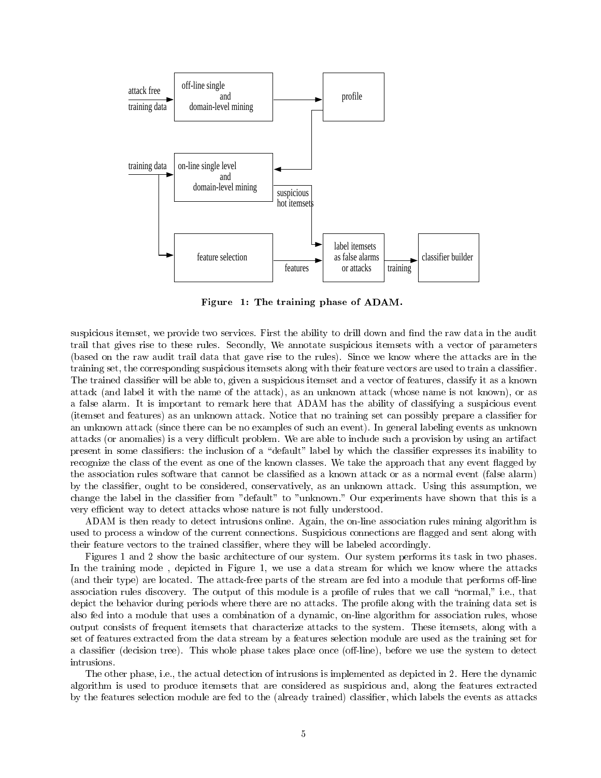

Figure 1: The training phase of ADAM.

suspicious itemset, we provide two services. First the ability to drill down and find the raw data in the audit trail that gives rise to these rules. Secondly, We annotate suspicious itemsets with a vector of parameters (based on the raw audit trail data that gave rise to the rules). Since we know where the attacks are in the training set, the corresponding suspicious itemsets along with their feature vectors are used to train a classier. The trained classifier will be able to, given a suspicious itemset and a vector of features, classify it as a known attack (and label it with the name of the attack), as an unknown attack (whose name is not known), or as a false alarm. It is important to remark here that ADAM has the ability of classifying a suspicious event (itemset and features) as an unknown attack. Notice that no training set can possibly prepare a classier for an unknown attack (since there can be no examples of such an event). In general labeling events as unknown attacks (or anomalies) is a very difficult problem. We are able to include such a provision by using an artifact present in some classifiers: the inclusion of a "default" label by which the classifier expresses its inability to recognize the class of the event as one of the known classes. We take the approach that any event flagged by the association rules software that cannot be classified as a known attack or as a normal event (false alarm) by the classier, ought to be considered, conservatively, as an unknown attack. Using this assumption, we change the label in the classifier from "default" to "unknown." Our experiments have shown that this is a very efficient way to detect attacks whose nature is not fully understood.

ADAM is then ready to detect intrusions online. Again, the on-line association rules mining algorithm is used to process a window of the current connections. Suspicious connections are flagged and sent along with their feature vectors to the trained classier, where they will be labeled accordingly.

Figures 1 and 2 show the basic architecture of our system. Our system performs its task in two phases. In the training mode, depicted in Figure 1, we use a data stream for which we know where the attacks (and their type) are located. The attack-free parts of the stream are fed into a module that performs off-line association rules discovery. The output of this module is a profile of rules that we call "normal," i.e., that depict the behavior during periods where there are no attacks. The profile along with the training data set is also fed into a module that uses a combination of a dynamic, on-line algorithm for association rules, whose output consists of frequent itemsets that characterize attacks to the system. These itemsets, along with a set of features extracted from the data stream by a features selection module are used as the training set for a classifier (decision tree). This whole phase takes place once (off-line), before we use the system to detect intrusions.

The other phase, i.e., the actual detection of intrusions is implemented as depicted in 2. Here the dynamic algorithm is used to produce itemsets that are considered as suspicious and, along the features extracted by the features selection module are fed to the (already trained) classifier, which labels the events as attacks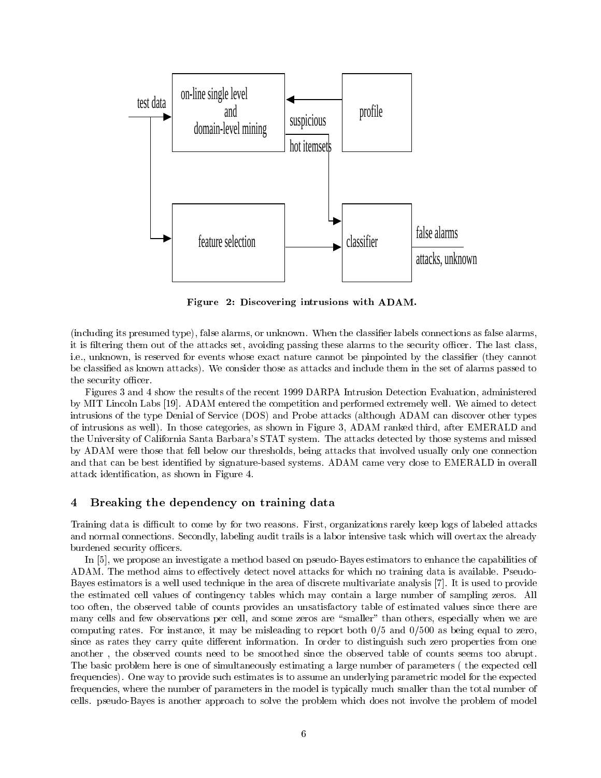

Figure 2: Discovering intrusions with ADAM.

(including its presumed type), false alarms, or unknown. When the classier labels connections as false alarms, it is filtering them out of the attacks set, avoiding passing these alarms to the security officer. The last class, i.e., unknown, is reserved for events whose exact nature cannot be pinpointed by the classifier (they cannot be classied as known attacks). We consider those as attacks and include them in the set of alarms passed to the security officer.

Figures 3 and 4 show the results of the recent 1999 DARPA Intrusion Detection Evaluation, administered by MIT Lincoln Labs [19]. ADAM entered the competition and performed extremely well. We aimed to detect intrusions of the type Denial of Service (DOS) and Probe attacks (although ADAM can discover other types of intrusions as well). In those categories, as shown in Figure 3, ADAM ranked third, after EMERALD and the University of California Santa Barbara's STAT system. The attacks detected by those systems and missed by ADAM were those that fell below our thresholds, being attacks that involved usually only one connection and that can be best identified by signature-based systems. ADAM came very close to EMERALD in overall attack identication, as shown in Figure 4.

#### $\overline{4}$ Breaking the dependency on training data

Training data is difficult to come by for two reasons. First, organizations rarely keep logs of labeled attacks and normal connections. Secondly, labeling audit trails is a labor intensive task which will overtax the already burdened security officers.

In [5], we propose an investigate a method based on pseudo-Bayes estimators to enhance the capabilities of ADAM. The method aims to effectively detect novel attacks for which no training data is available. Pseudo-Bayes estimators is a well used technique in the area of discrete multivariate analysis [7]. It is used to provide the estimated cell values of contingency tables which may contain a large number of sampling zeros. All too often, the observed table of counts provides an unsatisfactory table of estimated values since there are many cells and few observations per cell, and some zeros are "smaller" than others, especially when we are computing rates. For instance, it may be misleading to report both 0/5 and 0/500 as being equal to zero, since as rates they carry quite different information. In order to distinguish such zero properties from one another , the observed counts need to be smoothed since the observed table of counts seems too abrupt. The basic problem here is one of simultaneously estimating a large number of parameters ( the expected cell frequencies). One way to provide such estimates is to assume an underlying parametric model for the expected frequencies, where the number of parameters in the model is typically much smaller than the total number of cells. pseudo-Bayes is another approach to solve the problem which does not involve the problem of model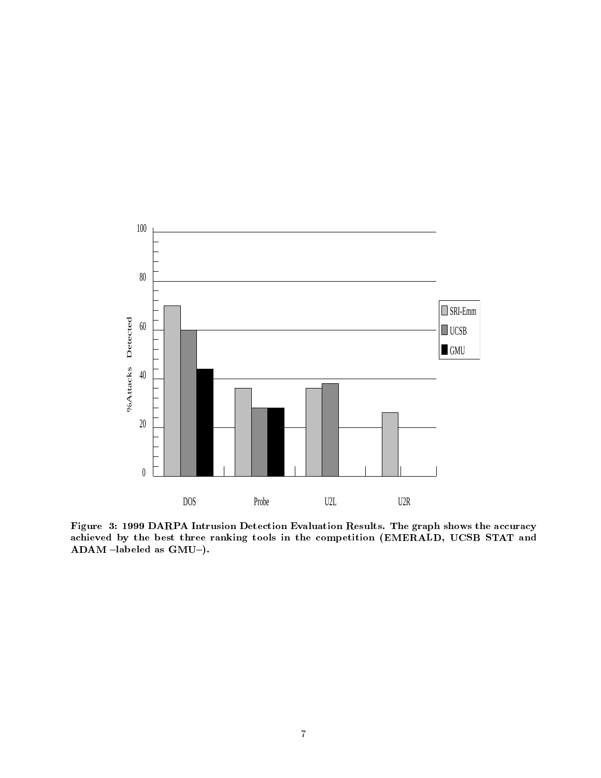

Figure 3: 1999 DARPA Intrusion Detection Evaluation Results. The graph shows the accuracy achieved by the best three ranking tools in the competition (EMERALD, UCSB STAT and  $ADAM$  -labeled as  $GMU-$ ).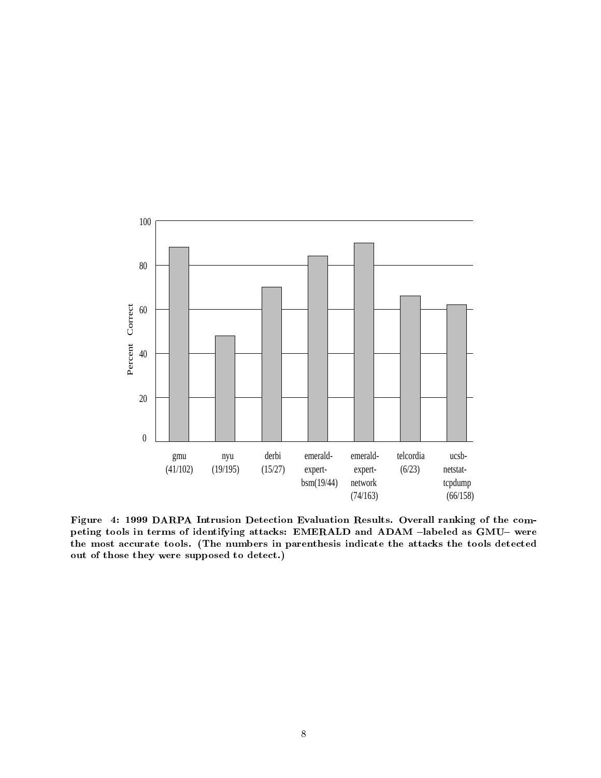

Figure 4: 1999 DARPA Intrusion Detection Evaluation Results. Overall ranking of the com peting tools in terms of identifying attacks: EMERALD and ADAM -labeled as GMU- were the most accurate tools. (The numbers in parenthesis indicate the attacks the tools detected out of those they were supposed to detect.)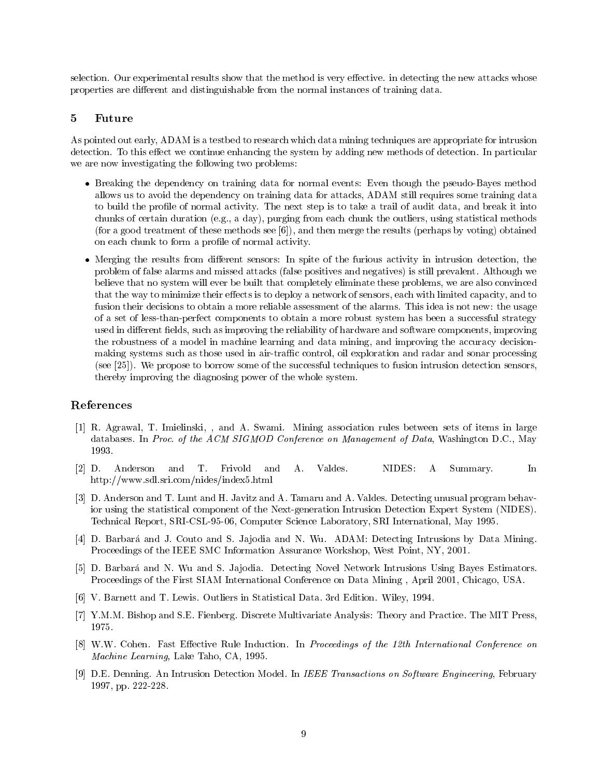selection. Our experimental results show that the method is very effective. in detecting the new attacks whose properties are different and distinguishable from the normal instances of training data.

## 5 Future

As pointed out early, ADAM is a testbed to research which data mining techniques are appropriate for intrusion detection. To this effect we continue enhancing the system by adding new methods of detection. In particular we are now investigating the following two problems:

- Breaking the dependency on training data for normal events: Even though the pseudo-Bayes method allows us to avoid the dependency on training data for attacks, ADAM still requires some training data to build the prole of normal activity. The next step is to take a trail of audit data, and break it into chunks of certain duration (e.g., a day), purging from each chunk the outliers, using statistical methods (for a good treatment of these methods see [6]), and then merge the results (perhaps by voting) obtained on each chunk to form a profile of normal activity.
- Merging the results from different sensors: In spite of the furious activity in intrusion detection, the problem of false alarms and missed attacks (false positives and negatives) is still prevalent. Although we believe that no system will ever be built that completely eliminate these problems, we are also convinced that the way to minimize their effects is to deploy a network of sensors, each with limited capacity, and to fusion their decisions to obtain a more reliable assessment of the alarms. This idea is not new: the usage of a set of less-than-perfect components to obtain a more robust system has been a successful strategy used in different fields, such as improving the reliability of hardware and software components, improving the robustness of a model in machine learning and data mining, and improving the accuracy decisionmaking systems such as those used in air-traffic control, oil exploration and radar and sonar processing (see [25]). We propose to borrow some of the successful techniques to fusion intrusion detection sensors, thereby improving the diagnosing power of the whole system.

## References

- [1] R. Agrawal, T. Imielinski, , and A. Swami. Mining association rules between sets of items in large databases. In Proc. of the ACM SIGMOD Conference on Management of Data, Washington D.C., May 1993.
- $A$ . Valdes.  $\overline{A}$ [2] D. Anderson and T. Frivold and A. Valdes. NIDES: A Summary. In http://www.sdl.sri.com/nides/index5.html
- [3] D. Anderson and T. Lunt and H. Javitz and A. Tamaru and A. Valdes. Detecting unusual program behavior using the statistical component of the Next-generation Intrusion Detection Expert System (NIDES). Technical Report, SRI-CSL-95-06, Computer Science Laboratory, SRI International, May 1995.
- [4] D. Barbará and J. Couto and S. Jajodia and N. Wu. ADAM: Detecting Intrusions by Data Mining. Proceedings of the IEEE SMC Information Assurance Workshop, West Point, NY, 2001.
- [5] D. Barbara and N. Wu and S. Ja jodia. Detecting Novel Network Intrusions Using Bayes Estimators. Proceedings of the First SIAM International Conference on Data Mining , April 2001, Chicago, USA.
- [6] V. Barnett and T. Lewis. Outliers in Statistical Data. 3rd Edition. Wiley, 1994.
- [7] Y.M.M. Bishop and S.E. Fienberg. Discrete Multivariate Analysis: Theory and Practice. The MIT Press, 1975.
- [8] W.W. Cohen. Fast Effective Rule Induction. In Proceedings of the 12th International Conference on Machine Learning, Lake Taho, CA, 1995.
- [9] D.E. Denning. An Intrusion Detection Model. In IEEE Transactions on Software Engineering, February 1997, pp. 222-228.